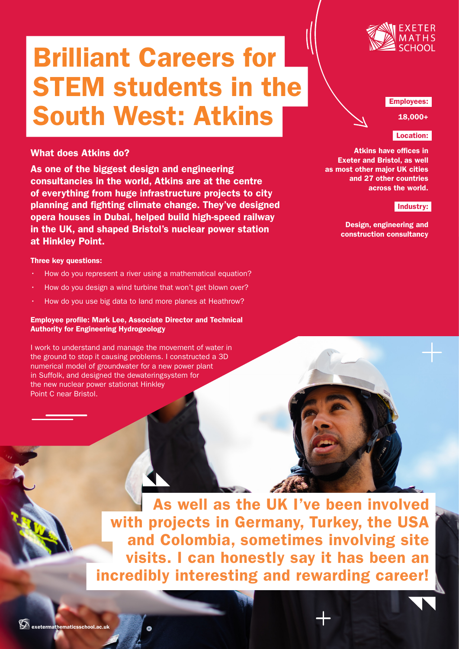

# Brilliant Careers for STEM students in the South West: Atkins

# What does Atkins do?

As one of the biggest design and engineering consultancies in the world, Atkins are at the centre of everything from huge infrastructure projects to city planning and fighting climate change. They've designed opera houses in Dubai, helped build high-speed railway in the UK, and shaped Bristol's nuclear power station at Hinkley Point.

# Three key questions:

- How do you represent a river using a mathematical equation?
- How do you design a wind turbine that won't get blown over?
- How do you use big data to land more planes at Heathrow?

# Employee profile: Mark Lee, Associate Director and Technical Authority for Engineering Hydrogeology

I work to understand and manage the movement of water in the ground to stop it causing problems. I constructed a 3D numerical model of groundwater for a new power plant in Suffolk, and designed the dewateringsystem for the new nuclear power stationat Hinkley Point C near Bristol.

## Employees:

18,000+

# Location:

Atkins have offices in Exeter and Bristol, as well as most other major UK cities and 27 other countries across the world.

# Industry:

Design, engineering and construction consultancy

As well as the UK I've been involved with projects in Germany, Turkey, the USA and Colombia, sometimes involving site visits. I can honestly say it has been an incredibly interesting and rewarding career!